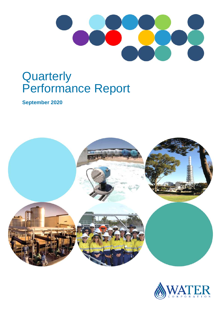

# **Quarterly** Performance Report

**September 2020**



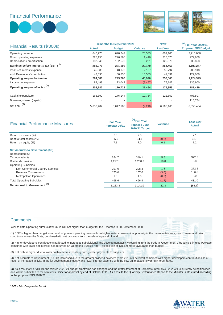Financial Performance





|                                                      |               | 3 months to September 2020 | $*$ PCP         | <sup>(a)</sup> Full Year 2020/21 |                            |
|------------------------------------------------------|---------------|----------------------------|-----------------|----------------------------------|----------------------------|
| Financial Results (\$'000s)                          | <b>Actual</b> | <b>Budget</b>              | <b>Variance</b> | <b>Last Year</b>                 | <b>Proposed SCI Budget</b> |
| Operating revenue                                    | 640,775       | 620,242                    | 20,533          | 609,106                          | 2,715,000                  |
| Direct operating expenses                            | 225,150       | 226,566                    | 1,416           | 218,670                          | 979,900                    |
| Depreciation / amortisation                          | 132,349       | 132,570                    | 221             | 125,970                          | 535,853                    |
| Earnings before interest & tax (EBIT) <sup>(1)</sup> | 283,276       | 261,106                    | 22,170          | 264,466                          | 1,199,247                  |
| less: Net interest expense                           | 45,983        | 48,170                     | 2,187           | 55,794                           | 203,918                    |
| add: Developers' contribution                        | 47,393        | 30,830                     | 16,563          | 41,831                           | 129,000                    |
| Operating surplus before tax                         | 284,686       | 243,766                    | 40,920          | 250,503                          | 1,124,329                  |
| Income tax expense                                   | 82,499        | 73,042                     | (9, 457)        | 75,147                           | 336,900                    |
| Operating surplus after tax <sup>(2)</sup>           | 202,187       | 170,723                    | 31,464          | 175,356                          | 787,429                    |
|                                                      |               |                            |                 |                                  |                            |
| Capital expenditure                                  | 165,390       | 176,144                    | 10,754          | 122,859                          | 708,507                    |
| Borrowings taken (repaid)                            |               | $\overline{\phantom{a}}$   |                 |                                  | 113,734                    |
| Net debt $(3)$                                       | 5,656,404     | 5,647,188                  | (9,216)         | 6,168,166                        | 6,353,454                  |

| <b>Financial Performance Measures</b>   | <b>Full Year</b><br>Forecast 20/21 | <sup>(a)</sup> Full Year<br><b>Proposed June</b><br><b>2020/21 Target</b> | <b>Variance</b>          | <b>Last Year</b><br><b>Actual</b> |
|-----------------------------------------|------------------------------------|---------------------------------------------------------------------------|--------------------------|-----------------------------------|
| Return on assets (%)                    | 7.0                                | 7.0                                                                       | $\overline{\phantom{0}}$ | 7.1                               |
| Debt to total assets (%)                | 35.0                               | 34.7                                                                      | (0.3)                    | 33.5                              |
| Return on equity (%)                    | 7.1                                | 7.0                                                                       | 0.1                      | 7.2                               |
| <b>Net Accruals to Government (\$m)</b> |                                    |                                                                           |                          |                                   |
| Represented by:                         |                                    |                                                                           |                          |                                   |
| Tax equivalents                         | 354.7                              | 349.1                                                                     | 5.6                      | 372.5                             |
| Dividends provided                      | 1,277.1                            | 1,258.3                                                                   | 18.8                     | 3.8                               |
| <b>Operating Subsidies</b>              |                                    |                                                                           |                          |                                   |
| Non-Commercial Country Services         | 297.0                              | 298.3                                                                     | 1.3                      | 272.2                             |
| <b>Revenue Concessions</b>              | 170.0                              | 167.0                                                                     | (3.0)                    | 156.8                             |
| <b>Metropolitan Operations</b>          | 1.6                                | 1.6                                                                       | (0.0)                    | 2.0                               |
| <b>Total Operating Subsidies</b>        | 468.6                              | 466.9                                                                     | (1.7)                    | 431.0                             |
| <b>Net Accrual to Government</b>        | 1,163.3                            | 1,141.0                                                                   | 22.3                     | (54.7)                            |

#### **Comments**

Year to date Operating surplus after tax is \$31.5m higher than budget for the 3 months to 30 September 2020.

(1) EBIT is higher than budget as a result of greater operating revenue from higher water consumption, primarily in the metropolitan area, due to warm and drier conditions across the State, combined with net proceeds from the sale of a parcel of land.

(2) Higher developers' contributions attributed to increased subdivisional and development activity resulting from the Federal Government's Housing Stimulus Package, combined with lower net interest, has returned an Operating Surplus After Tax position of \$31.5m more favourable than budget.

(3) Net Debt is higher due to lower cash reserves resulting from greater payments to suppliers.

(4) Net Accruals to Government (NATG) increased due to the greater dividend payment (from 2019/20 deferral) combined with higher developers contributions as a<br>result of increased activity in the lot development industry an

(a) As a result of COVID-19, the related 2020-21 budget timeframe has changed and the draft Statement of Corporate Intent (SCI) 2020/21 is currently being finalised and will be submitted to the Minister's Office for approval by end of October 2020. As a result, the Quarterly Performance Report to the Minister is structured according to the proposed SCI 2020/21.

*\* PCP - Prior Comparative Period*

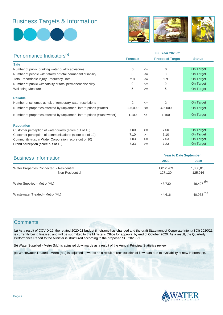## Business Targets & Information





| Performance Indicators <sup>(a)</sup>                                 |                 | <b>Full Year 2020/21</b> |                        |               |  |  |
|-----------------------------------------------------------------------|-----------------|--------------------------|------------------------|---------------|--|--|
|                                                                       | <b>Forecast</b> |                          | <b>Proposed Target</b> | <b>Status</b> |  |  |
| <b>Safe</b>                                                           |                 |                          |                        |               |  |  |
| Number of public drinking water quality advisories                    | 0               | $\leq$                   | $\mathbf 0$            | On Target     |  |  |
| Number of people with fatality or total permanent disability          | 0               | $\leq$                   | 0                      | On Target     |  |  |
| <b>Total Recordable Injury Frequency Rate</b>                         | 2.9             | $\leq$                   | 2.9                    | On Target     |  |  |
| Number of public with fatality or total permanent disability          | 0               | $\leq$                   | $\Omega$               | On Target     |  |  |
| <b>Wellbeing Measure</b>                                              | 5               | $>=$                     | 5                      | On Target     |  |  |
| <b>Reliable</b>                                                       |                 |                          |                        |               |  |  |
| Number of schemes at risk of temporary water restrictions             | 2               | $\leq$                   | 2                      | On Target     |  |  |
| Number of properties affected by unplanned interruptions (Water)      | 325,000         | $\leq$                   | 325,000                | On Target     |  |  |
| Number of properties affected by unplanned interruptions (Wastewater) | 1,100           | $\leq$                   | 1,100                  | On Target     |  |  |
| <b>Reputation</b>                                                     |                 |                          |                        |               |  |  |
| Customer perception of water quality (score out of 10)                | 7.00            | $>=$                     | 7.00                   | On Target     |  |  |
| Customer perception of communications (score out of 10)               | 7.10            | $>=$                     | 7.10                   | On Target     |  |  |
| Community trust in Water Corporation (score out of 10)                | 7.03            | $>=$                     | 7.03                   | On Target     |  |  |
| Brand perception (score out of 10)                                    | 7.33            | $>=$                     | 7.33                   | On Target     |  |  |

| <b>Business Information</b>                                   | <b>Year to Date September</b> |                       |  |  |
|---------------------------------------------------------------|-------------------------------|-----------------------|--|--|
|                                                               | 2020                          | 2019                  |  |  |
| Water Properties Connected - Residential<br>- Non-Residential | 1,012,209<br>127,120          | 1,000,810<br>125,916  |  |  |
| Water Supplied - Metro (ML)                                   | 48,730                        | 49,407 $(b)$          |  |  |
| Wastewater Treated - Metro (ML)                               | 44,616                        | 40,953 <sup>(c)</sup> |  |  |

### **Comments**

(a) As a result of COVID-19, the related 2020-21 budget timeframe has changed and the draft Statement of Corporate Intent (SCI) 2020/21 is currently being finalised and will be submitted to the Minister's Office for approval by end of October 2020. As a result, the Quarterly Performance Report to the Minister is structured according to the proposed SCI 2020/21.

(b) Water Supplied - Metro (ML) is adjusted downwards as a result of the Annual Principal Statistics review.

(c) Wastewater Treated - Metro (ML) is adjusted upwards as a result of recalculation of flow data due to availability of new information.